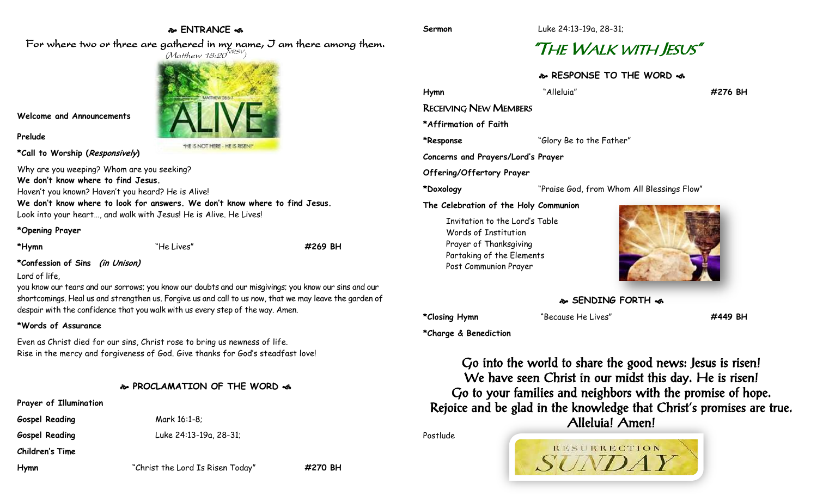### **ENTRANCE**  For where two or three are gathered in my name, I am there among them.

 $(M$ atthew 18:20 $^{NRSV})$ 

THE IS NOT HERE - HE IS RISEN!

# "THE WALK WITH JESUS"

**RESPONSE TO THE WORD** 

**Hymn** "Alleluia" **#276 BH**

RECEIVING NEW MEMBERS

**\*Affirmation of Faith**

**\*Response** "Glory Be to the Father"

**Concerns and Prayers/Lord's Prayer**

**Offering/Offertory Prayer**

**\*Doxology** "Praise God, from Whom All Blessings Flow"

**The Celebration of the Holy Communion**

Invitation to the Lord's Table Words of Institution Prayer of Thanksgiving Partaking of the Elements Post Communion Prayer



**SENDING FORTH** 

**\*Closing Hymn** "Because He Lives" **#449 BH**

**\*Charge & Benediction**

Go into the world to share the good news: Jesus is risen! We have seen Christ in our midst this day. He is risen! Go to your families and neighbors with the promise of hope. Rejoice and be glad in the knowledge that Christ's promises are true. Alleluia! Amen!

RESURRECTION

Postlude

**Prayer of Illumination**

**Gospel Reading** Mark 16:1-8;

**Gospel Reading** Luke 24:13-19a, 28-31;

**Children's Time**

**Hymn** "Christ the Lord Is Risen Today" **#270 BH**

# **\*Confession of Sins (in Unison)**

**Welcome and Announcements**

**\*Call to Worship (Responsively)** 

**We don't know where to find Jesus.**

Why are you weeping? Whom are you seeking?

Haven't you known? Haven't you heard? He is Alive!

Look into your heart…, and walk with Jesus! He is Alive. He Lives!

### Lord of life,

**Prelude**

you know our tears and our sorrows; you know our doubts and our misgivings; you know our sins and our shortcomings. Heal us and strengthen us. Forgive us and call to us now, that we may leave the garden of

### **\*Words of Assurance**

Even as Christ died for our sins, Christ rose to bring us newness of life.

## **PROCLAMATION OF THE WORD**

Rise in the mercy and forgiveness of God. Give thanks for God's steadfast love!

**\*Opening Prayer**

despair with the confidence that you walk with us every step of the way. Amen.

**We don't know where to look for answers. We don't know where to find Jesus.**

**\*Hymn** "He Lives" **#269 BH**